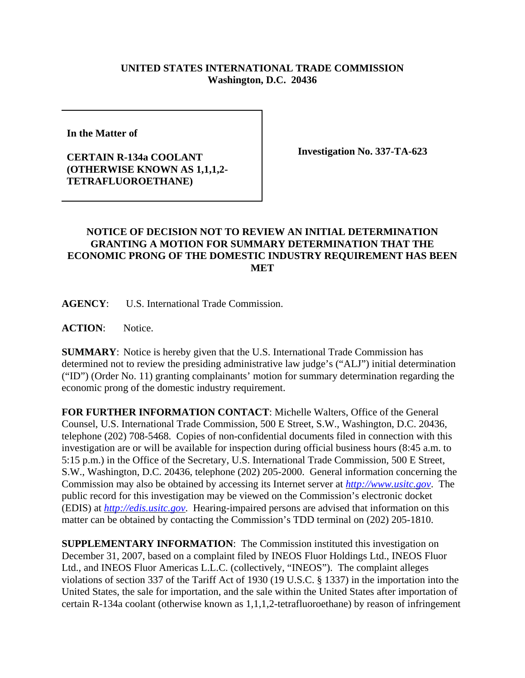## **UNITED STATES INTERNATIONAL TRADE COMMISSION Washington, D.C. 20436**

**In the Matter of** 

## **CERTAIN R-134a COOLANT (OTHERWISE KNOWN AS 1,1,1,2- TETRAFLUOROETHANE)**

**Investigation No. 337-TA-623**

## **NOTICE OF DECISION NOT TO REVIEW AN INITIAL DETERMINATION GRANTING A MOTION FOR SUMMARY DETERMINATION THAT THE ECONOMIC PRONG OF THE DOMESTIC INDUSTRY REQUIREMENT HAS BEEN MET**

**AGENCY**: U.S. International Trade Commission.

**ACTION**: Notice.

**SUMMARY**: Notice is hereby given that the U.S. International Trade Commission has determined not to review the presiding administrative law judge's ("ALJ") initial determination ("ID") (Order No. 11) granting complainants' motion for summary determination regarding the economic prong of the domestic industry requirement.

**FOR FURTHER INFORMATION CONTACT**: Michelle Walters, Office of the General Counsel, U.S. International Trade Commission, 500 E Street, S.W., Washington, D.C. 20436, telephone (202) 708-5468. Copies of non-confidential documents filed in connection with this investigation are or will be available for inspection during official business hours (8:45 a.m. to 5:15 p.m.) in the Office of the Secretary, U.S. International Trade Commission, 500 E Street, S.W., Washington, D.C. 20436, telephone (202) 205-2000. General information concerning the Commission may also be obtained by accessing its Internet server at *http://www.usitc.gov*. The public record for this investigation may be viewed on the Commission's electronic docket (EDIS) at *http://edis.usitc.gov*. Hearing-impaired persons are advised that information on this matter can be obtained by contacting the Commission's TDD terminal on (202) 205-1810.

**SUPPLEMENTARY INFORMATION**: The Commission instituted this investigation on December 31, 2007, based on a complaint filed by INEOS Fluor Holdings Ltd., INEOS Fluor Ltd., and INEOS Fluor Americas L.L.C. (collectively, "INEOS"). The complaint alleges violations of section 337 of the Tariff Act of 1930 (19 U.S.C. § 1337) in the importation into the United States, the sale for importation, and the sale within the United States after importation of certain R-134a coolant (otherwise known as 1,1,1,2-tetrafluoroethane) by reason of infringement